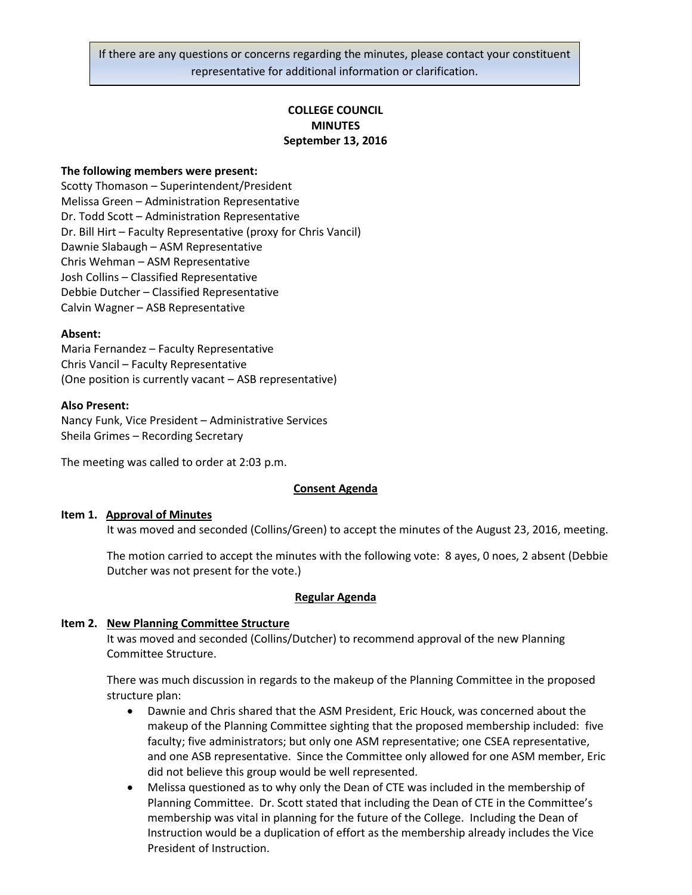If there are any questions or concerns regarding the minutes, please contact your constituent representative for additional information or clarification.

# **COLLEGE COUNCIL MINUTES September 13, 2016**

#### **The following members were present:**

Scotty Thomason – Superintendent/President Melissa Green – Administration Representative Dr. Todd Scott – Administration Representative Dr. Bill Hirt – Faculty Representative (proxy for Chris Vancil) Dawnie Slabaugh – ASM Representative Chris Wehman – ASM Representative Josh Collins – Classified Representative Debbie Dutcher – Classified Representative Calvin Wagner – ASB Representative

#### **Absent:**

Maria Fernandez – Faculty Representative Chris Vancil – Faculty Representative (One position is currently vacant – ASB representative)

#### **Also Present:**

Nancy Funk, Vice President – Administrative Services Sheila Grimes – Recording Secretary

The meeting was called to order at 2:03 p.m.

## **Consent Agenda**

#### **Item 1. Approval of Minutes**

It was moved and seconded (Collins/Green) to accept the minutes of the August 23, 2016, meeting.

The motion carried to accept the minutes with the following vote: 8 ayes, 0 noes, 2 absent (Debbie Dutcher was not present for the vote.)

#### **Regular Agenda**

## **Item 2. New Planning Committee Structure**

It was moved and seconded (Collins/Dutcher) to recommend approval of the new Planning Committee Structure.

There was much discussion in regards to the makeup of the Planning Committee in the proposed structure plan:

- Dawnie and Chris shared that the ASM President, Eric Houck, was concerned about the makeup of the Planning Committee sighting that the proposed membership included: five faculty; five administrators; but only one ASM representative; one CSEA representative, and one ASB representative. Since the Committee only allowed for one ASM member, Eric did not believe this group would be well represented.
- Melissa questioned as to why only the Dean of CTE was included in the membership of Planning Committee. Dr. Scott stated that including the Dean of CTE in the Committee's membership was vital in planning for the future of the College. Including the Dean of Instruction would be a duplication of effort as the membership already includes the Vice President of Instruction.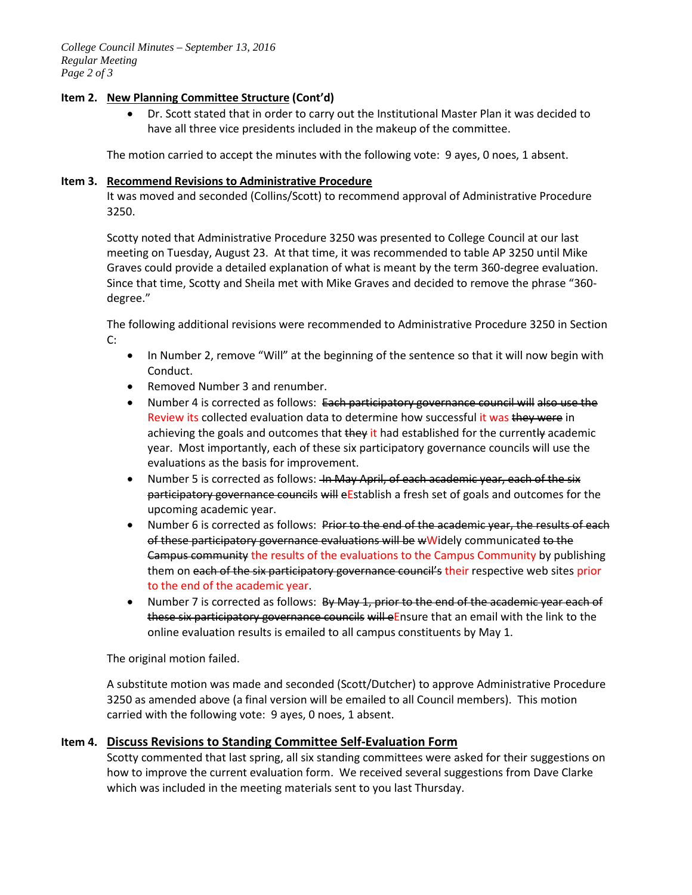*College Council Minutes – September 13, 2016 Regular Meeting Page 2 of 3*

## **Item 2. New Planning Committee Structure (Cont'd)**

• Dr. Scott stated that in order to carry out the Institutional Master Plan it was decided to have all three vice presidents included in the makeup of the committee.

The motion carried to accept the minutes with the following vote: 9 ayes, 0 noes, 1 absent.

#### **Item 3. Recommend Revisions to Administrative Procedure**

It was moved and seconded (Collins/Scott) to recommend approval of Administrative Procedure 3250.

Scotty noted that Administrative Procedure 3250 was presented to College Council at our last meeting on Tuesday, August 23. At that time, it was recommended to table AP 3250 until Mike Graves could provide a detailed explanation of what is meant by the term 360-degree evaluation. Since that time, Scotty and Sheila met with Mike Graves and decided to remove the phrase "360 degree."

The following additional revisions were recommended to Administrative Procedure 3250 in Section C:

- In Number 2, remove "Will" at the beginning of the sentence so that it will now begin with Conduct.
- Removed Number 3 and renumber.
- Number 4 is corrected as follows: Each participatory governance council will also use the Review its collected evaluation data to determine how successful it was they were in achieving the goals and outcomes that they it had established for the currently academic year. Most importantly, each of these six participatory governance councils will use the evaluations as the basis for improvement.
- Number 5 is corrected as follows: <del>In May April, of each academic year, each of the six</del> participatory governance councils will eEstablish a fresh set of goals and outcomes for the upcoming academic year.
- Number 6 is corrected as follows: Prior to the end of the academic year, the results of each of these participatory governance evaluations will be wWidely communicated to the Campus community the results of the evaluations to the Campus Community by publishing them on each of the six participatory governance council's their respective web sites prior to the end of the academic year.
- Number 7 is corrected as follows: By May 1, prior to the end of the academic year each of these six participatory governance councils will eEnsure that an email with the link to the online evaluation results is emailed to all campus constituents by May 1.

The original motion failed.

A substitute motion was made and seconded (Scott/Dutcher) to approve Administrative Procedure 3250 as amended above (a final version will be emailed to all Council members). This motion carried with the following vote: 9 ayes, 0 noes, 1 absent.

## **Item 4. Discuss Revisions to Standing Committee Self-Evaluation Form**

Scotty commented that last spring, all six standing committees were asked for their suggestions on how to improve the current evaluation form. We received several suggestions from Dave Clarke which was included in the meeting materials sent to you last Thursday.